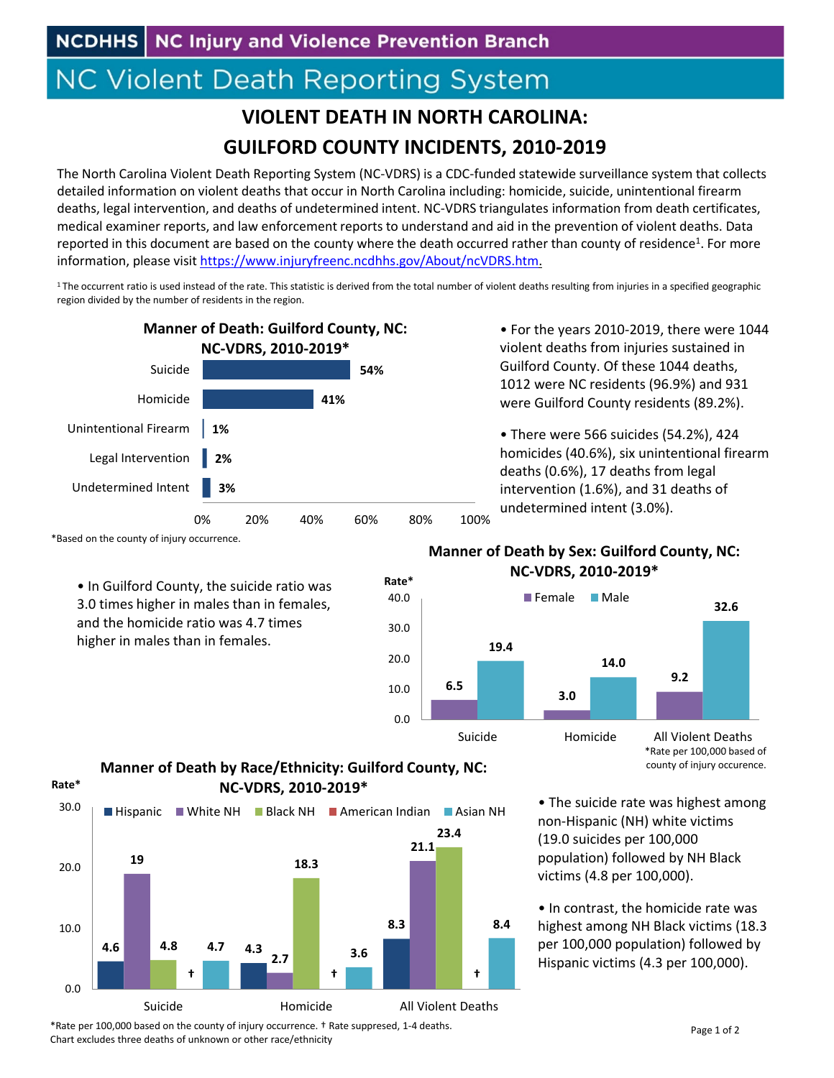## **NC Violent Death Reporting System**

## **VIOLENT DEATH IN NORTH CAROLINA: GUILFORD COUNTY INCIDENTS, 2010‐2019**

The North Carolina Violent Death Reporting System (NC‐VDRS) is a CDC‐funded statewide surveillance system that collects detailed information on violent deaths that occur in North Carolina including: homicide, suicide, unintentional firearm deaths, legal intervention, and deaths of undetermined intent. NC‐VDRS triangulates information from death certificates, medical examiner reports, and law enforcement reports to understand and aid in the prevention of violent deaths. Data reported in this document are based on the county where the death occurred rather than county of residence<sup>1</sup>. For more information, please visit https://www.injuryfreenc.ncdhhs.gov/About/ncVDRS.htm.

 $1$ The occurrent ratio is used instead of the rate. This statistic is derived from the total number of violent deaths resulting from injuries in a specified geographic region divided by the number of residents in the region.



\*Based on the county of injury occurrence.

• In Guilford County, the suicide ratio was 3.0 times higher in males than in females, and the homicide ratio was 4.7 times higher in males than in females.

• For the years 2010‐2019, there were 1044 violent deaths from injuries sustained in Guilford County. Of these 1044 deaths, 1012 were NC residents (96.9%) and 931 were Guilford County residents (89.2%).

• There were 566 suicides (54.2%), 424 homicides (40.6%), six unintentional firearm deaths (0.6%), 17 deaths from legal intervention (1.6%), and 31 deaths of undetermined intent (3.0%).

## **Manner of Death by Sex: Guilford County, NC: NC‐VDRS, 2010‐2019\***



**Manner of Death by Race/Ethnicity: Guilford County, NC: NC‐VDRS, 2010‐2019\* Rate\***



• The suicide rate was highest among non‐Hispanic (NH) white victims (19.0 suicides per 100,000 population) followed by NH Black victims (4.8 per 100,000).

• In contrast, the homicide rate was highest among NH Black victims (18.3 per 100,000 population) followed by Hispanic victims (4.3 per 100,000).

\*Rate per 100,000 based on the county of injury occurrence. † Rate suppresed, 1‐4 deaths. Chart excludes three deaths of unknown or other race/ethnicity

county of injury occurence.